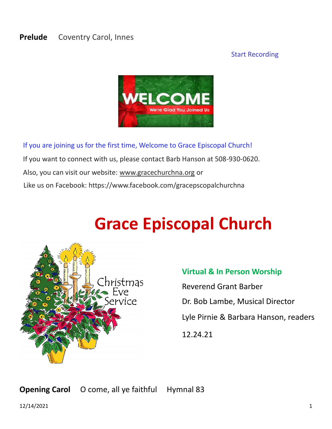#### **Prelude** Coventry Carol, Innes

#### Start Recording



If you are joining us for the first time, Welcome to Grace Episcopal Church! If you want to connect with us, please contact Barb Hanson at 508-930-0620. Also, you can visit our website: [www.gracechurchna.org](http://www.gracechurchna.org/) or Like us on Facebook: https://www.facebook.com/gracepscopalchurchna

# **Grace Episcopal Church**



**Virtual & In Person Worship** Reverend Grant Barber Dr. Bob Lambe, Musical Director Lyle Pirnie & Barbara Hanson, readers 12.24.21

**Opening Carol** O come, all ye faithful Hymnal 83

12/14/2021 1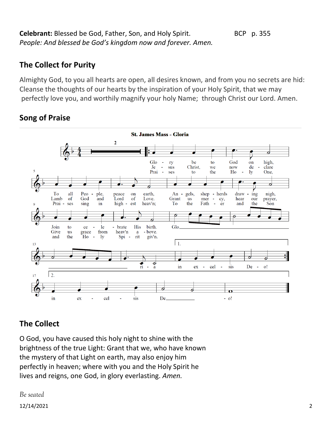# **The Collect for Purity**

Almighty God, to you all hearts are open, all desires known, and from you no secrets are hid: Cleanse the thoughts of our hearts by the inspiration of your Holy Spirit, that we may perfectly love you, and worthily magnify your holy Name; through Christ our Lord. Amen.

# **Song of Praise**



# **The Collect**

O God, you have caused this holy night to shine with the brightness of the true Light: Grant that we, who have known the mystery of that Light on earth, may also enjoy him perfectly in heaven; where with you and the Holy Spirit he lives and reigns, one God, in glory everlasting. *Amen.*

12/14/2021 2 *Be seated*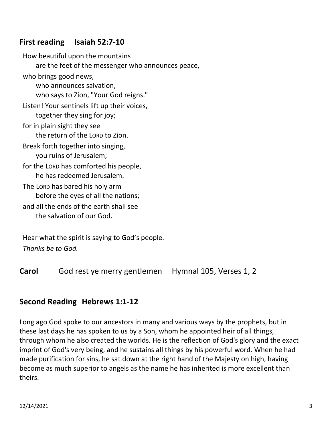#### **First reading Isaiah 52:7-10**

How beautiful upon the mountains are the feet of the messenger who announces peace, who brings good news, who announces salvation, who says to Zion, "Your God reigns." Listen! Your sentinels lift up their voices, together they sing for joy; for in plain sight they see the return of the LORD to Zion. Break forth together into singing, you ruins of Jerusalem; for the LORD has comforted his people, he has redeemed Jerusalem. The LORD has bared his holy arm before the eyes of all the nations; and all the ends of the earth shall see the salvation of our God.

Hear what the spirit is saying to God's people. *Thanks be to God.*

**Carol** God rest ye merry gentlemen Hymnal 105, Verses 1, 2

#### **Second Reading Hebrews 1:1-12**

Long ago God spoke to our ancestors in many and various ways by the prophets, but in these last days he has spoken to us by a Son, whom he appointed heir of all things, through whom he also created the worlds. He is the reflection of God's glory and the exact imprint of God's very being, and he sustains all things by his powerful word. When he had made purification for sins, he sat down at the right hand of the Majesty on high, having become as much superior to angels as the name he has inherited is more excellent than theirs.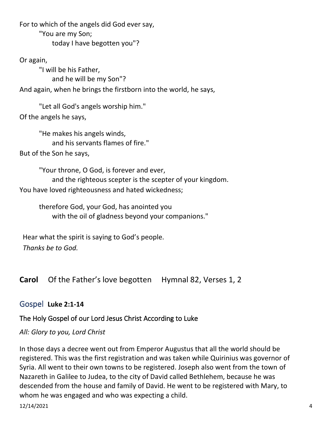For to which of the angels did God ever say, "You are my Son; today I have begotten you"?

Or again,

"I will be his Father, and he will be my Son"? And again, when he brings the firstborn into the world, he says,

"Let all God's angels worship him." Of the angels he says,

"He makes his angels winds, and his servants flames of fire."

But of the Son he says,

"Your throne, O God, is forever and ever, and the righteous scepter is the scepter of your kingdom. You have loved righteousness and hated wickedness;

therefore God, your God, has anointed you with the oil of gladness beyond your companions."

Hear what the spirit is saying to God's people. *Thanks be to God.*

**Carol** Of the Father's love begotten Hymnal 82, Verses 1, 2

Gospel **Luke 2:1-14**

The Holy Gospel of our Lord Jesus Christ According to Luke

*All: Glory to you, Lord Christ*

12/14/2021 4 In those days a decree went out from Emperor Augustus that all the world should be registered. This was the first registration and was taken while Quirinius was governor of Syria. All went to their own towns to be registered. Joseph also went from the town of Nazareth in Galilee to Judea, to the city of David called Bethlehem, because he was descended from the house and family of David. He went to be registered with Mary, to whom he was engaged and who was expecting a child.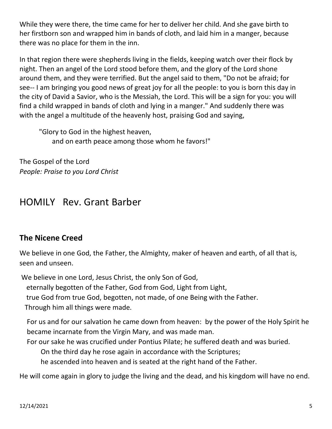While they were there, the time came for her to deliver her child. And she gave birth to her firstborn son and wrapped him in bands of cloth, and laid him in a manger, because there was no place for them in the inn.

In that region there were shepherds living in the fields, keeping watch over their flock by night. Then an angel of the Lord stood before them, and the glory of the Lord shone around them, and they were terrified. But the angel said to them, "Do not be afraid; for see-- I am bringing you good news of great joy for all the people: to you is born this day in the city of David a Savior, who is the Messiah, the Lord. This will be a sign for you: you will find a child wrapped in bands of cloth and lying in a manger." And suddenly there was with the angel a multitude of the heavenly host, praising God and saying,

"Glory to God in the highest heaven, and on earth peace among those whom he favors!"

The Gospel of the Lord *People: Praise to you Lord Christ*

# HOMILY Rev. Grant Barber

# **The Nicene Creed**

We believe in one God, the Father, the Almighty, maker of heaven and earth, of all that is, seen and unseen.

We believe in one Lord, Jesus Christ, the only Son of God,

eternally begotten of the Father, God from God, Light from Light,

true God from true God, begotten, not made, of one Being with the Father.

Through him all things were made.

For us and for our salvation he came down from heaven: by the power of the Holy Spirit he became incarnate from the Virgin Mary, and was made man.

For our sake he was crucified under Pontius Pilate; he suffered death and was buried.

On the third day he rose again in accordance with the Scriptures;

he ascended into heaven and is seated at the right hand of the Father.

He will come again in glory to judge the living and the dead, and his kingdom will have no end.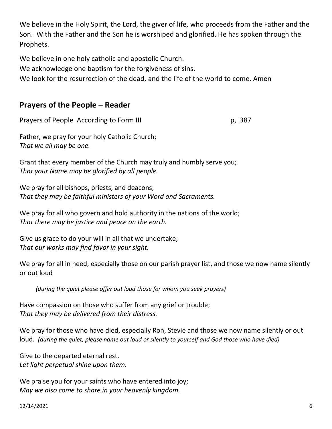We believe in the Holy Spirit, the Lord, the giver of life, who proceeds from the Father and the Son. With the Father and the Son he is worshiped and glorified. He has spoken through the Prophets.

We believe in one holy catholic and apostolic Church. We acknowledge one baptism for the forgiveness of sins. We look for the resurrection of the dead, and the life of the world to come. Amen

#### **Prayers of the People – Reader**

Prayers of People According to Form III p, 387

Father, we pray for your holy Catholic Church; *That we all may be one.*

Grant that every member of the Church may truly and humbly serve you; *That your Name may be glorified by all people.*

We pray for all bishops, priests, and deacons; *That they may be faithful ministers of your Word and Sacraments.*

We pray for all who govern and hold authority in the nations of the world; *That there may be justice and peace on the earth.*

Give us grace to do your will in all that we undertake; *That our works may find favor in your sight.*

We pray for all in need, especially those on our parish prayer list, and those we now name silently or out loud

 *(during the quiet please offer out loud those for whom you seek prayers)*

Have compassion on those who suffer from any grief or trouble; *That they may be delivered from their distress.*

We pray for those who have died, especially Ron, Stevie and those we now name silently or out loud. *(during the quiet, please name out loud or silently to yourself and God those who have died)*

Give to the departed eternal rest. *Let light perpetual shine upon them.*

We praise you for your saints who have entered into joy; *May we also come to share in your heavenly kingdom.*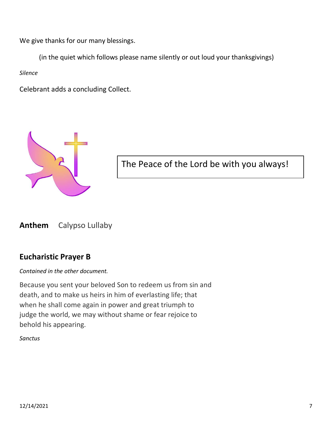We give thanks for our many blessings.

(in the quiet which follows please name silently or out loud your thanksgivings)

*Silence*

Celebrant adds a concluding Collect.



The Peace of the Lord be with you always!

**Anthem** Calypso Lullaby

#### **Eucharistic Prayer B**

#### *Contained in the other document.*

Because you sent your beloved Son to redeem us from sin and death, and to make us heirs in him of everlasting life; that when he shall come again in power and great triumph to judge the world, we may without shame or fear rejoice to behold his appearing.

*Sanctus*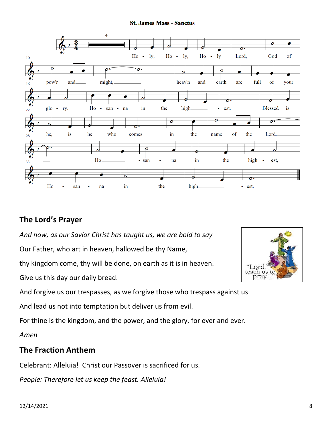#### **St. James Mass - Sanctus**



#### **The Lord's Prayer**

*And now, as our Savior Christ has taught us, we are bold to say*

Our Father, who art in heaven, hallowed be thy Name,

thy kingdom come, thy will be done, on earth as it is in heaven.

Give us this day our daily bread.



And forgive us our trespasses, as we forgive those who trespass against us

And lead us not into temptation but deliver us from evil.

For thine is the kingdom, and the power, and the glory, for ever and ever.

*Amen*

#### **The Fraction Anthem**

Celebrant: Alleluia! Christ our Passover is sacrificed for us.

*People: Therefore let us keep the feast. Alleluia!*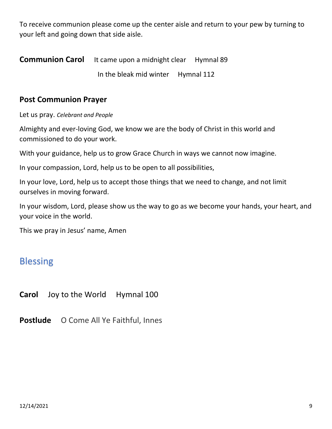To receive communion please come up the center aisle and return to your pew by turning to your left and going down that side aisle.

**Communion Carol** It came upon a midnight clear Hymnal 89 In the bleak mid winter Hymnal 112

#### **Post Communion Prayer**

Let us pray. *Celebrant and People*

Almighty and ever-loving God, we know we are the body of Christ in this world and commissioned to do your work.

With your guidance, help us to grow Grace Church in ways we cannot now imagine.

In your compassion, Lord, help us to be open to all possibilities,

In your love, Lord, help us to accept those things that we need to change, and not limit ourselves in moving forward.

In your wisdom, Lord, please show us the way to go as we become your hands, your heart, and your voice in the world.

This we pray in Jesus' name, Amen

# Blessing

**Carol** Joy to the World Hymnal 100

**Postlude** O Come All Ye Faithful, Innes